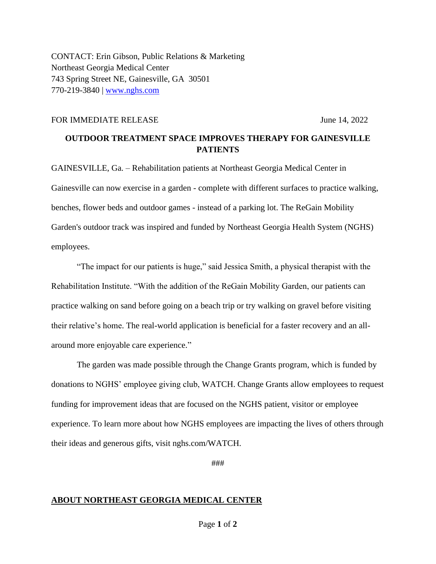CONTACT: Erin Gibson, Public Relations & Marketing Northeast Georgia Medical Center 743 Spring Street NE, Gainesville, GA 30501 770-219-3840 | [www.nghs.com](http://www.nghs.com/)

## FOR IMMEDIATE RELEASE June 14, 2022

## **OUTDOOR TREATMENT SPACE IMPROVES THERAPY FOR GAINESVILLE PATIENTS**

GAINESVILLE, Ga. – Rehabilitation patients at Northeast Georgia Medical Center in Gainesville can now exercise in a garden - complete with different surfaces to practice walking, benches, flower beds and outdoor games - instead of a parking lot. The ReGain Mobility Garden's outdoor track was inspired and funded by Northeast Georgia Health System (NGHS) employees.

"The impact for our patients is huge," said Jessica Smith, a physical therapist with the Rehabilitation Institute. "With the addition of the ReGain Mobility Garden, our patients can practice walking on sand before going on a beach trip or try walking on gravel before visiting their relative's home. The real-world application is beneficial for a faster recovery and an allaround more enjoyable care experience."

The garden was made possible through the Change Grants program, which is funded by donations to NGHS' employee giving club, WATCH. Change Grants allow employees to request funding for improvement ideas that are focused on the NGHS patient, visitor or employee experience. To learn more about how NGHS employees are impacting the lives of others through their ideas and generous gifts, visit nghs.com/WATCH.

###

## **ABOUT NORTHEAST GEORGIA MEDICAL CENTER**